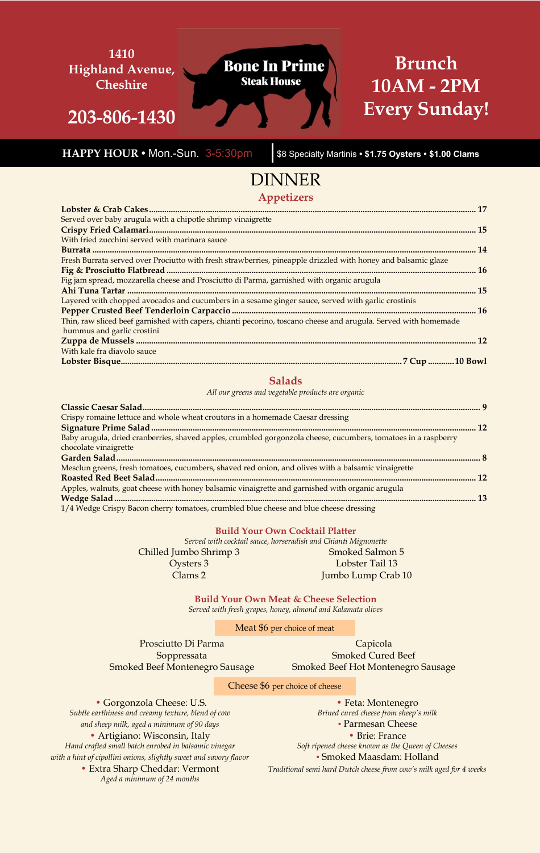#### **1410 Brunch Bone In Prime Highland Avenue, Steak House 10AM - 2PM Cheshire Every Sunday! 203-806-1430**

 **HAPPY HOUR •** Mon.-Sun. 3-5:30pm \$8 Specialty Martinis **• \$1.75 Oysters • \$1.00 Clams**

# DINNER

**Appetizers**

| Served over baby arugula with a chipotle shrimp vinaigrette                                                     |  |
|-----------------------------------------------------------------------------------------------------------------|--|
|                                                                                                                 |  |
| With fried zucchini served with marinara sauce                                                                  |  |
|                                                                                                                 |  |
| Fresh Burrata served over Prociutto with fresh strawberries, pineapple drizzled with honey and balsamic glaze   |  |
|                                                                                                                 |  |
| Fig jam spread, mozzarella cheese and Prosciutto di Parma, garnished with organic arugula                       |  |
|                                                                                                                 |  |
| Layered with chopped avocados and cucumbers in a sesame ginger sauce, served with garlic crostinis              |  |
|                                                                                                                 |  |
| Thin, raw sliced beef garnished with capers, chianti pecorino, toscano cheese and arugula. Served with homemade |  |
| hummus and garlic crostini                                                                                      |  |
|                                                                                                                 |  |
| With kale fra diavolo sauce                                                                                     |  |
|                                                                                                                 |  |

### **Salads**

*All our greens and vegetable products are organic*

| Crispy romaine lettuce and whole wheat croutons in a homemade Caesar dressing                                  |  |
|----------------------------------------------------------------------------------------------------------------|--|
|                                                                                                                |  |
| Baby arugula, dried cranberries, shaved apples, crumbled gorgonzola cheese, cucumbers, tomatoes in a raspberry |  |
| chocolate vinaigrette                                                                                          |  |
|                                                                                                                |  |
| Mesclun greens, fresh tomatoes, cucumbers, shaved red onion, and olives with a balsamic vinaigrette            |  |
|                                                                                                                |  |
| Apples, walnuts, goat cheese with honey balsamic vinaigrette and garnished with organic arugula                |  |
|                                                                                                                |  |
| 1/4 Wedge Crispy Bacon cherry tomatoes, crumbled blue cheese and blue cheese dressing                          |  |

#### **Build Your Own Cocktail Platter**

*Served with cocktail sauce, horseradish and Chianti Mignonette*

Chilled Jumbo Shrimp 3 Smoked Salmon 5 Oysters 3 Lobster Tail 13 Clams 2 Jumbo Lump Crab 10

> **Build Your Own Meat & Cheese Selection** *Served with fresh grapes, honey, almond and Kalamata olives*

> > Meat \$6 per choice of meat

Prosciutto Di Parma Capicola Smoked Beef Montenegro Sausage Smoked Beef Hot Montenegro Sausage

Soppressata Smoked Cured Beef

Cheese \$6 per choice of cheese

• Gorgonzola Cheese: U.S. • Feta: Montenegro *Subtle earthiness and creamy texture, blend of cow Brined cured cheese from sheep's milk and sheep milk, aged a minimum of 90 days •* Parmesan Cheese • Artigiano: Wisconsin, Italy • Brie: France *Hand crafted small batch enrobed in balsamic vinegar* Soft ripened cheese known as the Queen of Cheeses *with a hint of cipollini onions, slightly sweet and savory flavor* **•** *• Smoked Maasdam: Holland Aged a minimum of 24 months*

• Extra Sharp Cheddar: Vermont *Traditional semi hard Dutch cheese from cow's milk aged for 4 weeks*